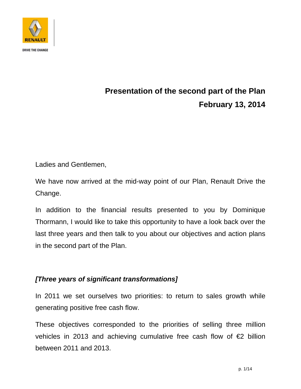

# **Presentation of the second part of the Plan February 13, 2014**

Ladies and Gentlemen,

We have now arrived at the mid-way point of our Plan, Renault Drive the Change.

In addition to the financial results presented to you by Dominique Thormann, I would like to take this opportunity to have a look back over the last three years and then talk to you about our objectives and action plans in the second part of the Plan.

### *[Three years of significant transformations]*

In 2011 we set ourselves two priorities: to return to sales growth while generating positive free cash flow.

These objectives corresponded to the priorities of selling three million vehicles in 2013 and achieving cumulative free cash flow of €2 billion between 2011 and 2013.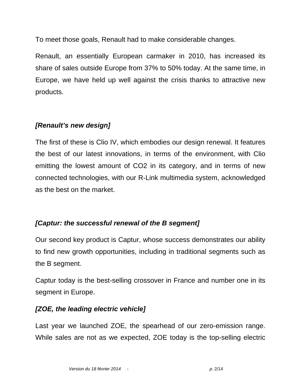To meet those goals, Renault had to make considerable changes.

Renault, an essentially European carmaker in 2010, has increased its share of sales outside Europe from 37% to 50% today. At the same time, in Europe, we have held up well against the crisis thanks to attractive new products.

### *[Renault's new design]*

The first of these is Clio IV, which embodies our design renewal. It features the best of our latest innovations, in terms of the environment, with Clio emitting the lowest amount of CO2 in its category, and in terms of new connected technologies, with our R-Link multimedia system, acknowledged as the best on the market.

### *[Captur: the successful renewal of the B segment]*

Our second key product is Captur, whose success demonstrates our ability to find new growth opportunities, including in traditional segments such as the B segment.

Captur today is the best-selling crossover in France and number one in its segment in Europe.

### *[ZOE, the leading electric vehicle]*

Last year we launched ZOE, the spearhead of our zero-emission range. While sales are not as we expected, ZOE today is the top-selling electric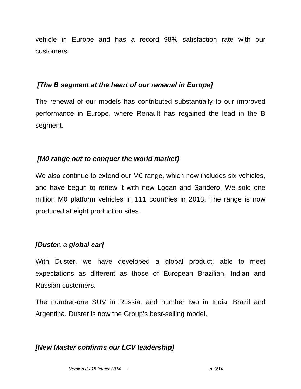vehicle in Europe and has a record 98% satisfaction rate with our customers.

#### *[The B segment at the heart of our renewal in Europe]*

The renewal of our models has contributed substantially to our improved performance in Europe, where Renault has regained the lead in the B segment.

### *[M0 range out to conquer the world market]*

We also continue to extend our M0 range, which now includes six vehicles, and have begun to renew it with new Logan and Sandero. We sold one million M0 platform vehicles in 111 countries in 2013. The range is now produced at eight production sites.

# *[Duster, a global car]*

With Duster, we have developed a global product, able to meet expectations as different as those of European Brazilian, Indian and Russian customers.

The number-one SUV in Russia, and number two in India, Brazil and Argentina, Duster is now the Group's best-selling model.

### *[New Master confirms our LCV leadership]*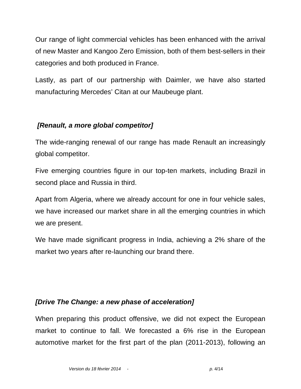Our range of light commercial vehicles has been enhanced with the arrival of new Master and Kangoo Zero Emission, both of them best-sellers in their categories and both produced in France.

Lastly, as part of our partnership with Daimler, we have also started manufacturing Mercedes' Citan at our Maubeuge plant.

### *[Renault, a more global competitor]*

The wide-ranging renewal of our range has made Renault an increasingly global competitor.

Five emerging countries figure in our top-ten markets, including Brazil in second place and Russia in third.

Apart from Algeria, where we already account for one in four vehicle sales, we have increased our market share in all the emerging countries in which we are present.

We have made significant progress in India, achieving a 2% share of the market two years after re-launching our brand there.

### *[Drive The Change: a new phase of acceleration]*

When preparing this product offensive, we did not expect the European market to continue to fall. We forecasted a 6% rise in the European automotive market for the first part of the plan (2011-2013), following an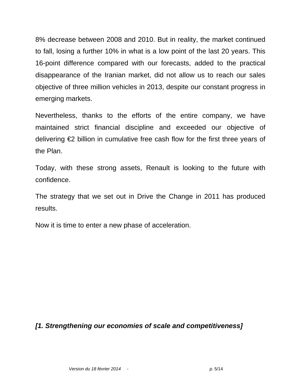8% decrease between 2008 and 2010. But in reality, the market continued to fall, losing a further 10% in what is a low point of the last 20 years. This 16-point difference compared with our forecasts, added to the practical disappearance of the Iranian market, did not allow us to reach our sales objective of three million vehicles in 2013, despite our constant progress in emerging markets.

Nevertheless, thanks to the efforts of the entire company, we have maintained strict financial discipline and exceeded our objective of delivering €2 billion in cumulative free cash flow for the first three years of the Plan.

Today, with these strong assets, Renault is looking to the future with confidence.

The strategy that we set out in Drive the Change in 2011 has produced results.

Now it is time to enter a new phase of acceleration.

# *[1. Strengthening our economies of scale and competitiveness]*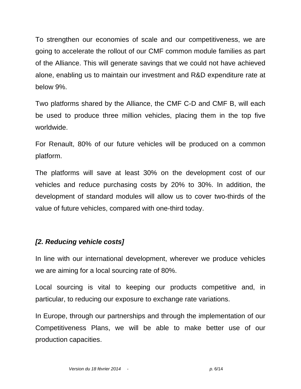To strengthen our economies of scale and our competitiveness, we are going to accelerate the rollout of our CMF common module families as part of the Alliance. This will generate savings that we could not have achieved alone, enabling us to maintain our investment and R&D expenditure rate at below 9%.

Two platforms shared by the Alliance, the CMF C-D and CMF B, will each be used to produce three million vehicles, placing them in the top five worldwide.

For Renault, 80% of our future vehicles will be produced on a common platform.

The platforms will save at least 30% on the development cost of our vehicles and reduce purchasing costs by 20% to 30%. In addition, the development of standard modules will allow us to cover two-thirds of the value of future vehicles, compared with one-third today.

### *[2. Reducing vehicle costs]*

In line with our international development, wherever we produce vehicles we are aiming for a local sourcing rate of 80%.

Local sourcing is vital to keeping our products competitive and, in particular, to reducing our exposure to exchange rate variations.

In Europe, through our partnerships and through the implementation of our Competitiveness Plans, we will be able to make better use of our production capacities.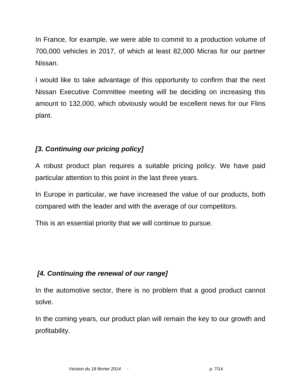In France, for example, we were able to commit to a production volume of 700,000 vehicles in 2017, of which at least 82,000 Micras for our partner Nissan.

I would like to take advantage of this opportunity to confirm that the next Nissan Executive Committee meeting will be deciding on increasing this amount to 132,000, which obviously would be excellent news for our Flins plant.

# *[3. Continuing our pricing policy]*

A robust product plan requires a suitable pricing policy. We have paid particular attention to this point in the last three years.

In Europe in particular, we have increased the value of our products, both compared with the leader and with the average of our competitors.

This is an essential priority that we will continue to pursue.

# *[4. Continuing the renewal of our range]*

In the automotive sector, there is no problem that a good product cannot solve.

In the coming years, our product plan will remain the key to our growth and profitability.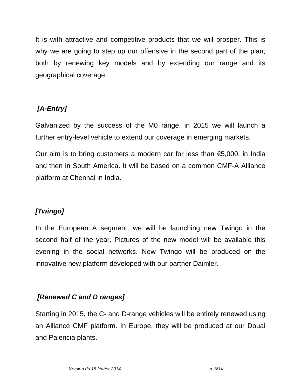It is with attractive and competitive products that we will prosper. This is why we are going to step up our offensive in the second part of the plan, both by renewing key models and by extending our range and its geographical coverage.

# *[A-Entry]*

Galvanized by the success of the M0 range, in 2015 we will launch a further entry-level vehicle to extend our coverage in emerging markets.

Our aim is to bring customers a modern car for less than  $65,000$ , in India and then in South America. It will be based on a common CMF-A Alliance platform at Chennai in India.

# *[Twingo]*

In the European A segment, we will be launching new Twingo in the second half of the year. Pictures of the new model will be available this evening in the social networks. New Twingo will be produced on the innovative new platform developed with our partner Daimler.

# *[Renewed C and D ranges]*

Starting in 2015, the C- and D-range vehicles will be entirely renewed using an Alliance CMF platform. In Europe, they will be produced at our Douai and Palencia plants.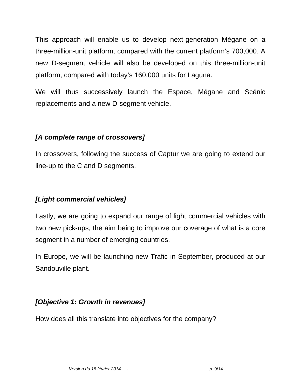This approach will enable us to develop next-generation Mégane on a three-million-unit platform, compared with the current platform's 700,000. A new D-segment vehicle will also be developed on this three-million-unit platform, compared with today's 160,000 units for Laguna.

We will thus successively launch the Espace, Mégane and Scénic replacements and a new D-segment vehicle.

#### *[A complete range of crossovers]*

In crossovers, following the success of Captur we are going to extend our line-up to the C and D segments.

### *[Light commercial vehicles]*

Lastly, we are going to expand our range of light commercial vehicles with two new pick-ups, the aim being to improve our coverage of what is a core segment in a number of emerging countries.

In Europe, we will be launching new Trafic in September, produced at our Sandouville plant.

# *[Objective 1: Growth in revenues]*

How does all this translate into objectives for the company?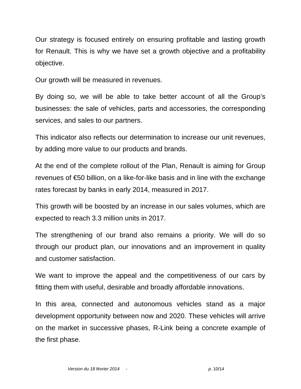Our strategy is focused entirely on ensuring profitable and lasting growth for Renault. This is why we have set a growth objective and a profitability objective.

Our growth will be measured in revenues.

By doing so, we will be able to take better account of all the Group's businesses: the sale of vehicles, parts and accessories, the corresponding services, and sales to our partners.

This indicator also reflects our determination to increase our unit revenues, by adding more value to our products and brands.

At the end of the complete rollout of the Plan, Renault is aiming for Group revenues of €50 billion, on a like-for-like basis and in line with the exchange rates forecast by banks in early 2014, measured in 2017.

This growth will be boosted by an increase in our sales volumes, which are expected to reach 3.3 million units in 2017.

The strengthening of our brand also remains a priority. We will do so through our product plan, our innovations and an improvement in quality and customer satisfaction.

We want to improve the appeal and the competitiveness of our cars by fitting them with useful, desirable and broadly affordable innovations.

In this area, connected and autonomous vehicles stand as a major development opportunity between now and 2020. These vehicles will arrive on the market in successive phases, R-Link being a concrete example of the first phase.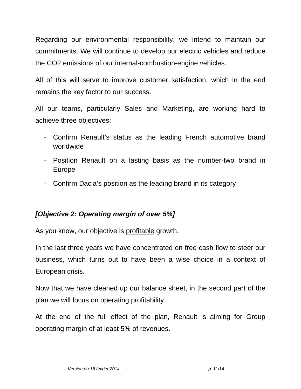Regarding our environmental responsibility, we intend to maintain our commitments. We will continue to develop our electric vehicles and reduce the CO2 emissions of our internal-combustion-engine vehicles.

All of this will serve to improve customer satisfaction, which in the end remains the key factor to our success.

All our teams, particularly Sales and Marketing, are working hard to achieve three objectives:

- Confirm Renault's status as the leading French automotive brand worldwide
- Position Renault on a lasting basis as the number-two brand in Europe
- Confirm Dacia's position as the leading brand in its category

#### *[Objective 2: Operating margin of over 5%]*

As you know, our objective is profitable growth.

In the last three years we have concentrated on free cash flow to steer our business, which turns out to have been a wise choice in a context of European crisis.

Now that we have cleaned up our balance sheet, in the second part of the plan we will focus on operating profitability.

At the end of the full effect of the plan, Renault is aiming for Group operating margin of at least 5% of revenues.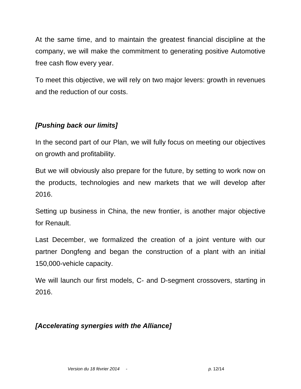At the same time, and to maintain the greatest financial discipline at the company, we will make the commitment to generating positive Automotive free cash flow every year.

To meet this objective, we will rely on two major levers: growth in revenues and the reduction of our costs.

### *[Pushing back our limits]*

In the second part of our Plan, we will fully focus on meeting our objectives on growth and profitability.

But we will obviously also prepare for the future, by setting to work now on the products, technologies and new markets that we will develop after 2016.

Setting up business in China, the new frontier, is another major objective for Renault.

Last December, we formalized the creation of a joint venture with our partner Dongfeng and began the construction of a plant with an initial 150,000-vehicle capacity.

We will launch our first models, C- and D-segment crossovers, starting in 2016.

# *[Accelerating synergies with the Alliance]*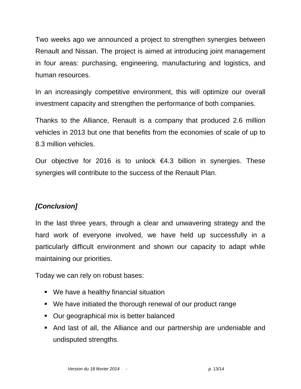Two weeks ago we announced a project to strengthen synergies between Renault and Nissan. The project is aimed at introducing joint management in four areas: purchasing, engineering, manufacturing and logistics, and human resources.

In an increasingly competitive environment, this will optimize our overall investment capacity and strengthen the performance of both companies.

Thanks to the Alliance, Renault is a company that produced 2.6 million vehicles in 2013 but one that benefits from the economies of scale of up to 8.3 million vehicles.

Our objective for 2016 is to unlock  $64.3$  billion in synergies. These synergies will contribute to the success of the Renault Plan.

# *[Conclusion]*

In the last three years, through a clear and unwavering strategy and the hard work of everyone involved, we have held up successfully in a particularly difficult environment and shown our capacity to adapt while maintaining our priorities.

Today we can rely on robust bases:

- We have a healthy financial situation
- We have initiated the thorough renewal of our product range
- Our geographical mix is better balanced
- And last of all, the Alliance and our partnership are undeniable and undisputed strengths.